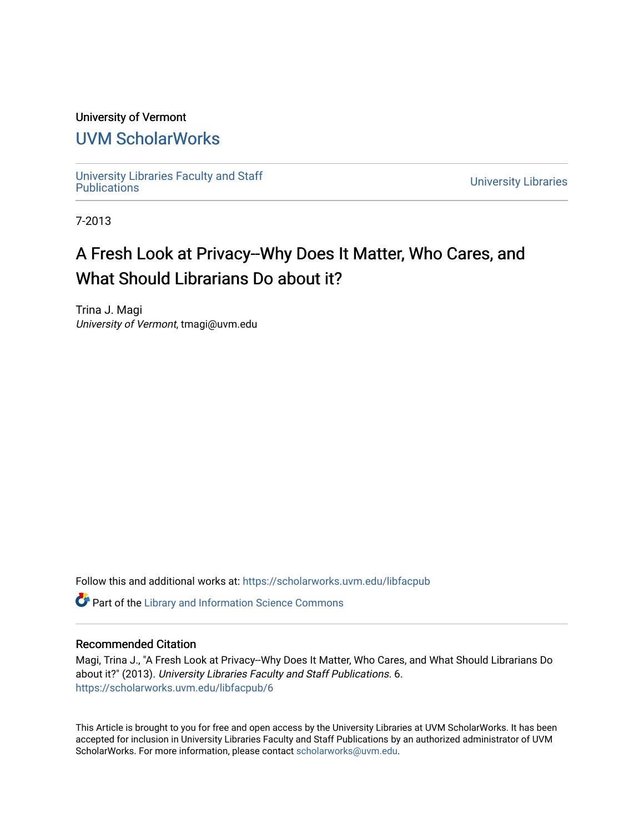## University of Vermont

## [UVM ScholarWorks](https://scholarworks.uvm.edu/)

[University Libraries Faculty and Staff](https://scholarworks.uvm.edu/libfacpub) 

**University Libraries** 

7-2013

## A Fresh Look at Privacy--Why Does It Matter, Who Cares, and What Should Librarians Do about it?

Trina J. Magi University of Vermont, tmagi@uvm.edu

Follow this and additional works at: [https://scholarworks.uvm.edu/libfacpub](https://scholarworks.uvm.edu/libfacpub?utm_source=scholarworks.uvm.edu%2Flibfacpub%2F6&utm_medium=PDF&utm_campaign=PDFCoverPages)

**C** Part of the Library and Information Science Commons

#### Recommended Citation

Magi, Trina J., "A Fresh Look at Privacy--Why Does It Matter, Who Cares, and What Should Librarians Do about it?" (2013). University Libraries Faculty and Staff Publications. 6. [https://scholarworks.uvm.edu/libfacpub/6](https://scholarworks.uvm.edu/libfacpub/6?utm_source=scholarworks.uvm.edu%2Flibfacpub%2F6&utm_medium=PDF&utm_campaign=PDFCoverPages)

This Article is brought to you for free and open access by the University Libraries at UVM ScholarWorks. It has been accepted for inclusion in University Libraries Faculty and Staff Publications by an authorized administrator of UVM ScholarWorks. For more information, please contact [scholarworks@uvm.edu](mailto:scholarworks@uvm.edu).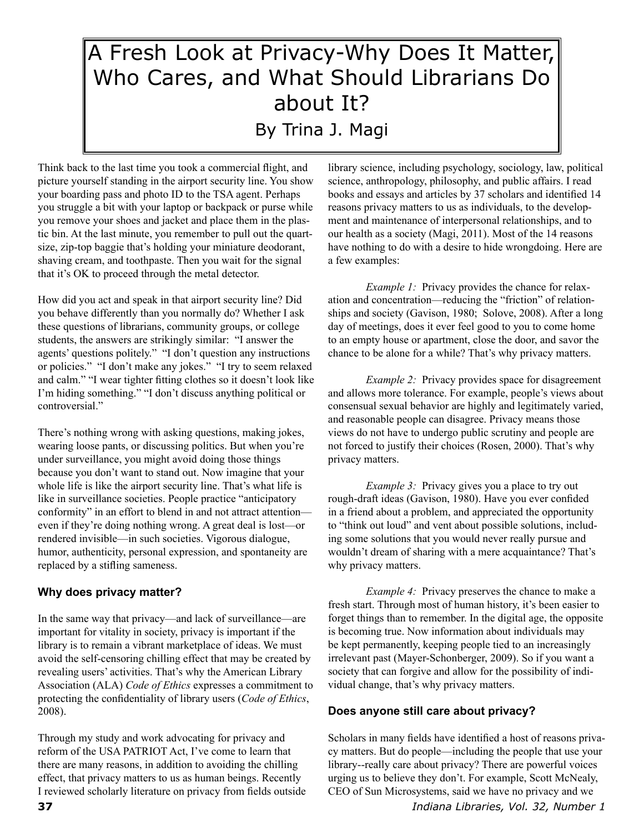# A Fresh Look at Privacy-Why Does It Matter, Who Cares, and What Should Librarians Do about It? By Trina J. Magi

Think back to the last time you took a commercial flight, and picture yourself standing in the airport security line. You show your boarding pass and photo ID to the TSA agent. Perhaps you struggle a bit with your laptop or backpack or purse while you remove your shoes and jacket and place them in the plastic bin. At the last minute, you remember to pull out the quartsize, zip-top baggie that's holding your miniature deodorant, shaving cream, and toothpaste. Then you wait for the signal that it's OK to proceed through the metal detector.

How did you act and speak in that airport security line? Did you behave differently than you normally do? Whether I ask these questions of librarians, community groups, or college students, the answers are strikingly similar: "I answer the agents' questions politely." "I don't question any instructions or policies." "I don't make any jokes." "I try to seem relaxed and calm." "I wear tighter fitting clothes so it doesn't look like I'm hiding something." "I don't discuss anything political or controversial."

There's nothing wrong with asking questions, making jokes, wearing loose pants, or discussing politics. But when you're under surveillance, you might avoid doing those things because you don't want to stand out. Now imagine that your whole life is like the airport security line. That's what life is like in surveillance societies. People practice "anticipatory conformity" in an effort to blend in and not attract attention even if they're doing nothing wrong. A great deal is lost—or rendered invisible—in such societies. Vigorous dialogue, humor, authenticity, personal expression, and spontaneity are replaced by a stifling sameness.

## **Why does privacy matter?**

In the same way that privacy—and lack of surveillance—are important for vitality in society, privacy is important if the library is to remain a vibrant marketplace of ideas. We must avoid the self-censoring chilling effect that may be created by revealing users' activities. That's why the American Library Association (ALA) *Code of Ethics* expresses a commitment to protecting the confidentiality of library users (*Code of Ethics*, 2008).

Through my study and work advocating for privacy and reform of the USA PATRIOT Act, I've come to learn that there are many reasons, in addition to avoiding the chilling effect, that privacy matters to us as human beings. Recently I reviewed scholarly literature on privacy from fields outside

library science, including psychology, sociology, law, political science, anthropology, philosophy, and public affairs. I read books and essays and articles by 37 scholars and identified 14 reasons privacy matters to us as individuals, to the development and maintenance of interpersonal relationships, and to our health as a society (Magi, 2011). Most of the 14 reasons have nothing to do with a desire to hide wrongdoing. Here are a few examples:

*Example 1:* Privacy provides the chance for relaxation and concentration—reducing the "friction" of relationships and society (Gavison, 1980; Solove, 2008). After a long day of meetings, does it ever feel good to you to come home to an empty house or apartment, close the door, and savor the chance to be alone for a while? That's why privacy matters.

*Example 2:* Privacy provides space for disagreement and allows more tolerance. For example, people's views about consensual sexual behavior are highly and legitimately varied, and reasonable people can disagree. Privacy means those views do not have to undergo public scrutiny and people are not forced to justify their choices (Rosen, 2000). That's why privacy matters.

*Example 3:* Privacy gives you a place to try out rough-draft ideas (Gavison, 1980). Have you ever confided in a friend about a problem, and appreciated the opportunity to "think out loud" and vent about possible solutions, including some solutions that you would never really pursue and wouldn't dream of sharing with a mere acquaintance? That's why privacy matters.

*Example 4:* Privacy preserves the chance to make a fresh start. Through most of human history, it's been easier to forget things than to remember. In the digital age, the opposite is becoming true. Now information about individuals may be kept permanently, keeping people tied to an increasingly irrelevant past (Mayer-Schonberger, 2009). So if you want a society that can forgive and allow for the possibility of individual change, that's why privacy matters.

## **Does anyone still care about privacy?**

Scholars in many fields have identified a host of reasons privacy matters. But do people—including the people that use your library--really care about privacy? There are powerful voices urging us to believe they don't. For example, Scott McNealy, CEO of Sun Microsystems, said we have no privacy and we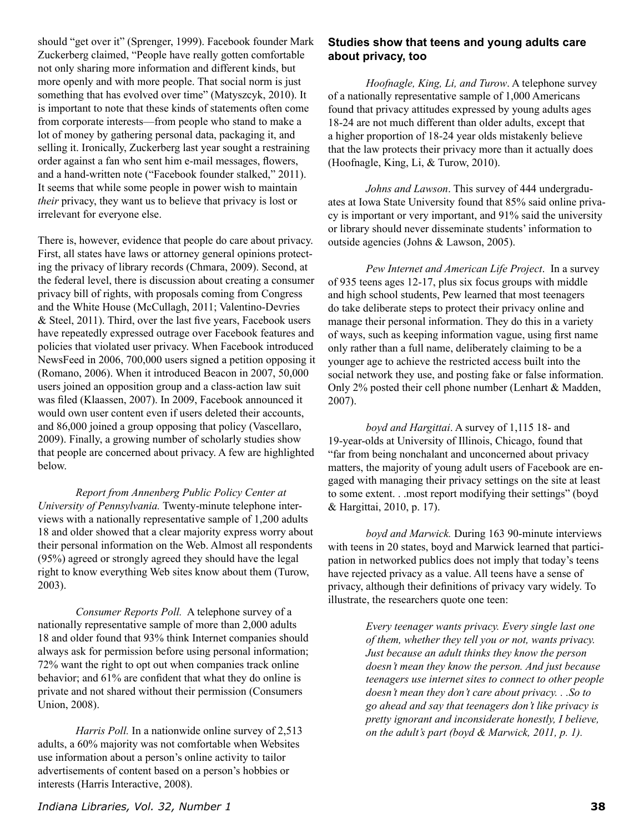should "get over it" (Sprenger, 1999). Facebook founder Mark Zuckerberg claimed, "People have really gotten comfortable not only sharing more information and different kinds, but more openly and with more people. That social norm is just something that has evolved over time" (Matyszcyk, 2010). It is important to note that these kinds of statements often come from corporate interests—from people who stand to make a lot of money by gathering personal data, packaging it, and selling it. Ironically, Zuckerberg last year sought a restraining order against a fan who sent him e-mail messages, flowers, and a hand-written note ("Facebook founder stalked," 2011). It seems that while some people in power wish to maintain *their* privacy, they want us to believe that privacy is lost or irrelevant for everyone else.

There is, however, evidence that people do care about privacy. First, all states have laws or attorney general opinions protecting the privacy of library records (Chmara, 2009). Second, at the federal level, there is discussion about creating a consumer privacy bill of rights, with proposals coming from Congress and the White House (McCullagh, 2011; Valentino-Devries & Steel, 2011). Third, over the last five years, Facebook users have repeatedly expressed outrage over Facebook features and policies that violated user privacy. When Facebook introduced NewsFeed in 2006, 700,000 users signed a petition opposing it (Romano, 2006). When it introduced Beacon in 2007, 50,000 users joined an opposition group and a class-action law suit was filed (Klaassen, 2007). In 2009, Facebook announced it would own user content even if users deleted their accounts, and 86,000 joined a group opposing that policy (Vascellaro, 2009). Finally, a growing number of scholarly studies show that people are concerned about privacy. A few are highlighted below.

*Report from Annenberg Public Policy Center at University of Pennsylvania.* Twenty-minute telephone interviews with a nationally representative sample of 1,200 adults 18 and older showed that a clear majority express worry about their personal information on the Web. Almost all respondents (95%) agreed or strongly agreed they should have the legal right to know everything Web sites know about them (Turow, 2003).

*Consumer Reports Poll.* A telephone survey of a nationally representative sample of more than 2,000 adults 18 and older found that 93% think Internet companies should always ask for permission before using personal information; 72% want the right to opt out when companies track online behavior; and 61% are confident that what they do online is private and not shared without their permission (Consumers Union, 2008).

*Harris Poll.* In a nationwide online survey of 2,513 adults, a 60% majority was not comfortable when Websites use information about a person's online activity to tailor advertisements of content based on a person's hobbies or interests (Harris Interactive, 2008).

#### **Studies show that teens and young adults care about privacy, too**

*Hoofnagle, King, Li, and Turow*. A telephone survey of a nationally representative sample of 1,000 Americans found that privacy attitudes expressed by young adults ages 18-24 are not much different than older adults, except that a higher proportion of 18-24 year olds mistakenly believe that the law protects their privacy more than it actually does (Hoofnagle, King, Li, & Turow, 2010).

*Johns and Lawson*. This survey of 444 undergraduates at Iowa State University found that 85% said online privacy is important or very important, and 91% said the university or library should never disseminate students' information to outside agencies (Johns & Lawson, 2005).

*Pew Internet and American Life Project*. In a survey of 935 teens ages 12-17, plus six focus groups with middle and high school students, Pew learned that most teenagers do take deliberate steps to protect their privacy online and manage their personal information. They do this in a variety of ways, such as keeping information vague, using first name only rather than a full name, deliberately claiming to be a younger age to achieve the restricted access built into the social network they use, and posting fake or false information. Only  $2\%$  posted their cell phone number (Lenhart & Madden, 2007).

*boyd and Hargittai*. A survey of 1,115 18- and 19-year-olds at University of Illinois, Chicago, found that "far from being nonchalant and unconcerned about privacy matters, the majority of young adult users of Facebook are engaged with managing their privacy settings on the site at least to some extent. . .most report modifying their settings" (boyd & Hargittai, 2010, p. 17).

*boyd and Marwick.* During 163 90-minute interviews with teens in 20 states, boyd and Marwick learned that participation in networked publics does not imply that today's teens have rejected privacy as a value. All teens have a sense of privacy, although their definitions of privacy vary widely. To illustrate, the researchers quote one teen:

> *Every teenager wants privacy. Every single last one of them, whether they tell you or not, wants privacy. Just because an adult thinks they know the person doesn't mean they know the person. And just because teenagers use internet sites to connect to other people doesn't mean they don't care about privacy. . .So to go ahead and say that teenagers don't like privacy is pretty ignorant and inconsiderate honestly, I believe, on the adult's part (boyd & Marwick, 2011, p. 1).*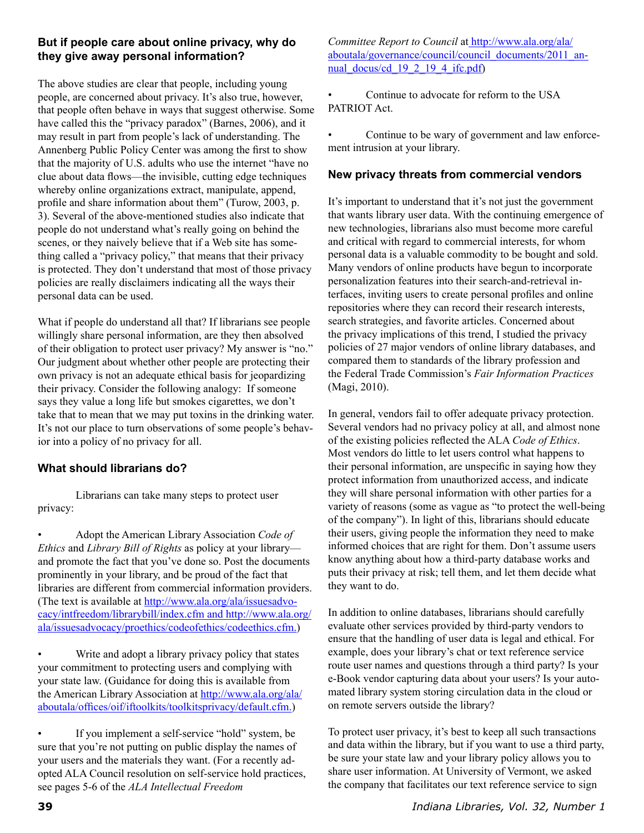## **But if people care about online privacy, why do they give away personal information?**

The above studies are clear that people, including young people, are concerned about privacy. It's also true, however, that people often behave in ways that suggest otherwise. Some have called this the "privacy paradox" (Barnes, 2006), and it may result in part from people's lack of understanding. The Annenberg Public Policy Center was among the first to show that the majority of U.S. adults who use the internet "have no clue about data flows—the invisible, cutting edge techniques whereby online organizations extract, manipulate, append, profile and share information about them" (Turow, 2003, p. 3). Several of the above-mentioned studies also indicate that people do not understand what's really going on behind the scenes, or they naively believe that if a Web site has something called a "privacy policy," that means that their privacy is protected. They don't understand that most of those privacy policies are really disclaimers indicating all the ways their personal data can be used.

What if people do understand all that? If librarians see people willingly share personal information, are they then absolved of their obligation to protect user privacy? My answer is "no." Our judgment about whether other people are protecting their own privacy is not an adequate ethical basis for jeopardizing their privacy. Consider the following analogy: If someone says they value a long life but smokes cigarettes, we don't take that to mean that we may put toxins in the drinking water. It's not our place to turn observations of some people's behavior into a policy of no privacy for all.

## **What should librarians do?**

Librarians can take many steps to protect user privacy:

• Adopt the American Library Association *Code of Ethics* and *Library Bill of Rights* as policy at your library and promote the fact that you've done so. Post the documents prominently in your library, and be proud of the fact that libraries are different from commercial information providers. (The text is available at [http://www.ala.org/ala/issuesadvo](http://www.ala.org/ala/issuesadvocacy/intfreedom/librarybill/index.cfm%20and%20http://www.ala.org/ala/issuesadvocacy/proethics/codeofethics/codeethics.cfm)[cacy/intfreedom/librarybill/index.cfm and http://www.ala.org/](http://www.ala.org/ala/issuesadvocacy/intfreedom/librarybill/index.cfm%20and%20http://www.ala.org/ala/issuesadvocacy/proethics/codeofethics/codeethics.cfm) [ala/issuesadvocacy/proethics/codeofethics/codeethics.cfm](http://www.ala.org/ala/issuesadvocacy/intfreedom/librarybill/index.cfm%20and%20http://www.ala.org/ala/issuesadvocacy/proethics/codeofethics/codeethics.cfm).)

Write and adopt a library privacy policy that states your commitment to protecting users and complying with your state law. (Guidance for doing this is available from the American Library Association at [http://www.ala.org/ala/](http://www.ala.org/ala/aboutala/offices/oif/iftoolkits/toolkitsprivacy/default.cfm) [aboutala/offices/oif/iftoolkits/toolkitsprivacy/default.cfm.](http://www.ala.org/ala/aboutala/offices/oif/iftoolkits/toolkitsprivacy/default.cfm))

If you implement a self-service "hold" system, be sure that you're not putting on public display the names of your users and the materials they want. (For a recently adopted ALA Council resolution on self-service hold practices, see pages 5-6 of the *ALA Intellectual Freedom* 

*Committee Report to Council* at [http://www.ala.org/ala/](%20http://www.ala.org/ala/aboutala/governance/council/council_documents/2011_annual_docus/cd_19_2_19_4_ifc.pdf) [aboutala/governance/council/council\\_documents/2011\\_an](%20http://www.ala.org/ala/aboutala/governance/council/council_documents/2011_annual_docus/cd_19_2_19_4_ifc.pdf)nual docus/cd  $19\ 2\ 19\ 4\$ ifc.pdf)

• Continue to advocate for reform to the USA PATRIOT Act.

Continue to be wary of government and law enforcement intrusion at your library.

### **New privacy threats from commercial vendors**

It's important to understand that it's not just the government that wants library user data. With the continuing emergence of new technologies, librarians also must become more careful and critical with regard to commercial interests, for whom personal data is a valuable commodity to be bought and sold. Many vendors of online products have begun to incorporate personalization features into their search-and-retrieval interfaces, inviting users to create personal profiles and online repositories where they can record their research interests, search strategies, and favorite articles. Concerned about the privacy implications of this trend, I studied the privacy policies of 27 major vendors of online library databases, and compared them to standards of the library profession and the Federal Trade Commission's *Fair Information Practices*  (Magi, 2010).

In general, vendors fail to offer adequate privacy protection. Several vendors had no privacy policy at all, and almost none of the existing policies reflected the ALA *Code of Ethics*. Most vendors do little to let users control what happens to their personal information, are unspecific in saying how they protect information from unauthorized access, and indicate they will share personal information with other parties for a variety of reasons (some as vague as "to protect the well-being of the company"). In light of this, librarians should educate their users, giving people the information they need to make informed choices that are right for them. Don't assume users know anything about how a third-party database works and puts their privacy at risk; tell them, and let them decide what they want to do.

In addition to online databases, librarians should carefully evaluate other services provided by third-party vendors to ensure that the handling of user data is legal and ethical. For example, does your library's chat or text reference service route user names and questions through a third party? Is your e-Book vendor capturing data about your users? Is your automated library system storing circulation data in the cloud or on remote servers outside the library?

To protect user privacy, it's best to keep all such transactions and data within the library, but if you want to use a third party, be sure your state law and your library policy allows you to share user information. At University of Vermont, we asked the company that facilitates our text reference service to sign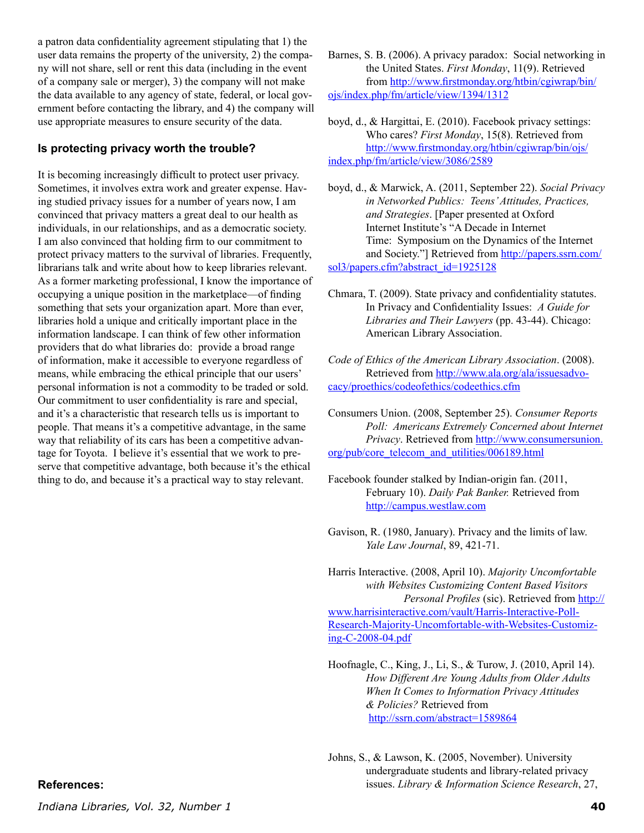a patron data confidentiality agreement stipulating that 1) the user data remains the property of the university, 2) the company will not share, sell or rent this data (including in the event of a company sale or merger), 3) the company will not make the data available to any agency of state, federal, or local government before contacting the library, and 4) the company will use appropriate measures to ensure security of the data.

#### **Is protecting privacy worth the trouble?**

It is becoming increasingly difficult to protect user privacy. Sometimes, it involves extra work and greater expense. Having studied privacy issues for a number of years now, I am convinced that privacy matters a great deal to our health as individuals, in our relationships, and as a democratic society. I am also convinced that holding firm to our commitment to protect privacy matters to the survival of libraries. Frequently, librarians talk and write about how to keep libraries relevant. As a former marketing professional, I know the importance of occupying a unique position in the marketplace—of finding something that sets your organization apart. More than ever, libraries hold a unique and critically important place in the information landscape. I can think of few other information providers that do what libraries do: provide a broad range of information, make it accessible to everyone regardless of means, while embracing the ethical principle that our users' personal information is not a commodity to be traded or sold. Our commitment to user confidentiality is rare and special, and it's a characteristic that research tells us is important to people. That means it's a competitive advantage, in the same way that reliability of its cars has been a competitive advantage for Toyota. I believe it's essential that we work to preserve that competitive advantage, both because it's the ethical thing to do, and because it's a practical way to stay relevant.

Barnes, S. B. (2006). A privacy paradox: Social networking in the United States. *First Monday*, 11(9). Retrieved from [http://www.firstmonday.org/htbin/cgiwrap/bin/](http://www.firstmonday.org/htbin/cgiwrap/bin/ojs/index.php/fm/article/view/1394/1312%0D) [ojs/index.php/fm/article/view/1394/1312](http://www.firstmonday.org/htbin/cgiwrap/bin/ojs/index.php/fm/article/view/1394/1312%0D)

boyd, d., & Hargittai, E. (2010). Facebook privacy settings: Who cares? *First Monday*, 15(8). Retrieved from [http://www.firstmonday.org/htbin/cgiwrap/bin/ojs/](http://www.firstmonday.org/htbin/cgiwrap/bin/ojs/index.php/fm/article/view/3086/2589) [index.php/fm/article/view/3086/2589](http://www.firstmonday.org/htbin/cgiwrap/bin/ojs/index.php/fm/article/view/3086/2589)

boyd, d., & Marwick, A. (2011, September 22). *Social Privacy in Networked Publics: Teens' Attitudes, Practices, and Strategies*. [Paper presented at Oxford Internet Institute's "A Decade in Internet Time: Symposium on the Dynamics of the Internet and Society."] Retrieved from [http://papers.ssrn.com/](http://papers.ssrn.com/sol3/papers.cfm%3Fabstract_id%3D1925128) [sol3/papers.cfm?abstract\\_id=1925128](http://papers.ssrn.com/sol3/papers.cfm%3Fabstract_id%3D1925128)

- Chmara, T. (2009). State privacy and confidentiality statutes. In Privacy and Confidentiality Issues: *A Guide for Libraries and Their Lawyers* (pp. 43-44). Chicago: American Library Association.
- *Code of Ethics of the American Library Association*. (2008). Retrieved from [http://www.ala.org/ala/issuesadvo](http://www.ala.org/ala/issuesadvocacy/proethics/codeofethics/codeethics.cfm)[cacy/proethics/codeofethics/codeethics.cfm](http://www.ala.org/ala/issuesadvocacy/proethics/codeofethics/codeethics.cfm)

Consumers Union. (2008, September 25). *Consumer Reports Poll: Americans Extremely Concerned about Internet Privacy*. Retrieved from [http://www.consumersunion.](http://www.consumersunion.org/pub/core_telecom_and_utilities/006189.html) [org/pub/core\\_telecom\\_and\\_utilities/006189.html](http://www.consumersunion.org/pub/core_telecom_and_utilities/006189.html)

Facebook founder stalked by Indian-origin fan. (2011, February 10). *Daily Pak Banker.* Retrieved from <http://campus.westlaw.com>

Gavison, R. (1980, January). Privacy and the limits of law. *Yale Law Journal*, 89, 421-71.

Harris Interactive. (2008, April 10). *Majority Uncomfortable with Websites Customizing Content Based Visitors Personal Profiles* (sic). Retrieved from [http://](http://www.harrisinteractive.com/vault/Harris-Interactive-Poll-Research-Majority-Uncomfortable-with-Websites-Customizing-C-2008-04.pdf) [www.harrisinteractive.com/vault/Harris-Interactive-Poll-](http://www.harrisinteractive.com/vault/Harris-Interactive-Poll-Research-Majority-Uncomfortable-with-Websites-Customizing-C-2008-04.pdf)[Research-Majority-Uncomfortable-with-Websites-Customiz](http://www.harrisinteractive.com/vault/Harris-Interactive-Poll-Research-Majority-Uncomfortable-with-Websites-Customizing-C-2008-04.pdf)[ing-C-2008-04.pdf](http://www.harrisinteractive.com/vault/Harris-Interactive-Poll-Research-Majority-Uncomfortable-with-Websites-Customizing-C-2008-04.pdf)

Hoofnagle, C., King, J., Li, S., & Turow, J. (2010, April 14). *How Different Are Young Adults from Older Adults When It Comes to Information Privacy Attitudes & Policies?* Retrieved from [http://ssrn.com/abstract=1589864](http://ssrn.com/abstract%3D1589864)

#### **References:**

*Indiana Libraries, Vol. 32, Number 1* **40**

Johns, S., & Lawson, K. (2005, November). University undergraduate students and library-related privacy issues. *Library & Information Science Research*, 27,